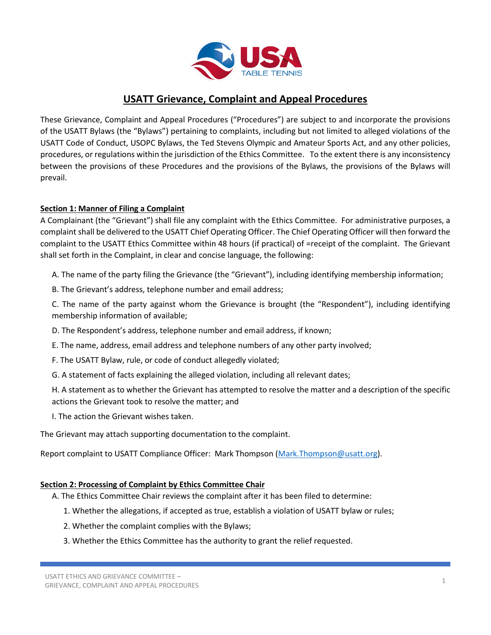

# **USATT Grievance, Complaint and Appeal Procedures**

These Grievance, Complaint and Appeal Procedures ("Procedures") are subject to and incorporate the provisions of the USATT Bylaws (the "Bylaws") pertaining to complaints, including but not limited to alleged violations of the USATT Code of Conduct, USOPC Bylaws, the Ted Stevens Olympic and Amateur Sports Act, and any other policies, procedures, or regulations within the jurisdiction of the Ethics Committee. To the extent there is any inconsistency between the provisions of these Procedures and the provisions of the Bylaws, the provisions of the Bylaws will prevail.

## **Section 1: Manner of Filing a Complaint**

A Complainant (the "Grievant") shall file any complaint with the Ethics Committee. For administrative purposes, a complaint shall be delivered to the USATT Chief Operating Officer. The Chief Operating Officer will then forward the complaint to the USATT Ethics Committee within 48 hours (if practical) of =receipt of the complaint. The Grievant shall set forth in the Complaint, in clear and concise language, the following:

A. The name of the party filing the Grievance (the "Grievant"), including identifying membership information;

B. The Grievant's address, telephone number and email address;

C. The name of the party against whom the Grievance is brought (the "Respondent"), including identifying membership information of available;

D. The Respondent's address, telephone number and email address, if known;

E. The name, address, email address and telephone numbers of any other party involved;

F. The USATT Bylaw, rule, or code of conduct allegedly violated;

G. A statement of facts explaining the alleged violation, including all relevant dates;

H. A statement as to whether the Grievant has attempted to resolve the matter and a description of the specific actions the Grievant took to resolve the matter; and

I. The action the Grievant wishes taken.

The Grievant may attach supporting documentation to the complaint.

Report complaint to USATT Compliance Officer: Mark Thompson [\(Mark.Thompson@usatt.org\)](mailto:Mark.Thompson@usatt.org).

## **Section 2: Processing of Complaint by Ethics Committee Chair**

A. The Ethics Committee Chair reviews the complaint after it has been filed to determine:

- 1. Whether the allegations, if accepted as true, establish a violation of USATT bylaw or rules;
- 2. Whether the complaint complies with the Bylaws;
- 3. Whether the Ethics Committee has the authority to grant the relief requested.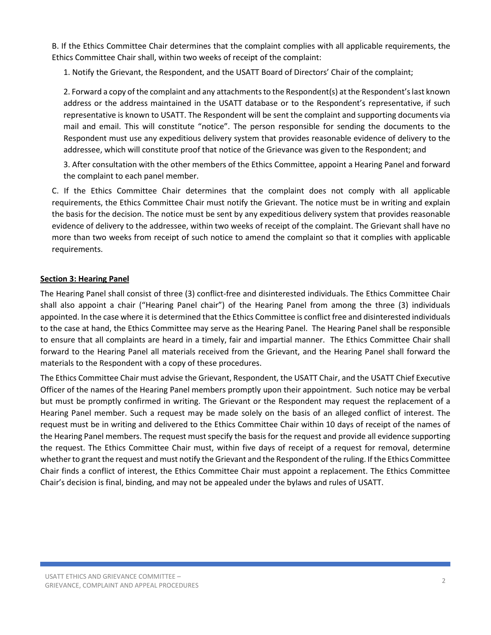B. If the Ethics Committee Chair determines that the complaint complies with all applicable requirements, the Ethics Committee Chair shall, within two weeks of receipt of the complaint:

1. Notify the Grievant, the Respondent, and the USATT Board of Directors' Chair of the complaint;

2. Forward a copy of the complaint and any attachments to the Respondent(s) at the Respondent's last known address or the address maintained in the USATT database or to the Respondent's representative, if such representative is known to USATT. The Respondent will be sent the complaint and supporting documents via mail and email. This will constitute "notice". The person responsible for sending the documents to the Respondent must use any expeditious delivery system that provides reasonable evidence of delivery to the addressee, which will constitute proof that notice of the Grievance was given to the Respondent; and

3. After consultation with the other members of the Ethics Committee, appoint a Hearing Panel and forward the complaint to each panel member.

C. If the Ethics Committee Chair determines that the complaint does not comply with all applicable requirements, the Ethics Committee Chair must notify the Grievant. The notice must be in writing and explain the basis for the decision. The notice must be sent by any expeditious delivery system that provides reasonable evidence of delivery to the addressee, within two weeks of receipt of the complaint. The Grievant shall have no more than two weeks from receipt of such notice to amend the complaint so that it complies with applicable requirements.

## **Section 3: Hearing Panel**

The Hearing Panel shall consist of three (3) conflict-free and disinterested individuals. The Ethics Committee Chair shall also appoint a chair ("Hearing Panel chair") of the Hearing Panel from among the three (3) individuals appointed. In the case where it is determined that the Ethics Committee is conflict free and disinterested individuals to the case at hand, the Ethics Committee may serve as the Hearing Panel. The Hearing Panel shall be responsible to ensure that all complaints are heard in a timely, fair and impartial manner. The Ethics Committee Chair shall forward to the Hearing Panel all materials received from the Grievant, and the Hearing Panel shall forward the materials to the Respondent with a copy of these procedures.

The Ethics Committee Chair must advise the Grievant, Respondent, the USATT Chair, and the USATT Chief Executive Officer of the names of the Hearing Panel members promptly upon their appointment. Such notice may be verbal but must be promptly confirmed in writing. The Grievant or the Respondent may request the replacement of a Hearing Panel member. Such a request may be made solely on the basis of an alleged conflict of interest. The request must be in writing and delivered to the Ethics Committee Chair within 10 days of receipt of the names of the Hearing Panel members. The request must specify the basis for the request and provide all evidence supporting the request. The Ethics Committee Chair must, within five days of receipt of a request for removal, determine whether to grant the request and must notify the Grievant and the Respondent of the ruling. If the Ethics Committee Chair finds a conflict of interest, the Ethics Committee Chair must appoint a replacement. The Ethics Committee Chair's decision is final, binding, and may not be appealed under the bylaws and rules of USATT.